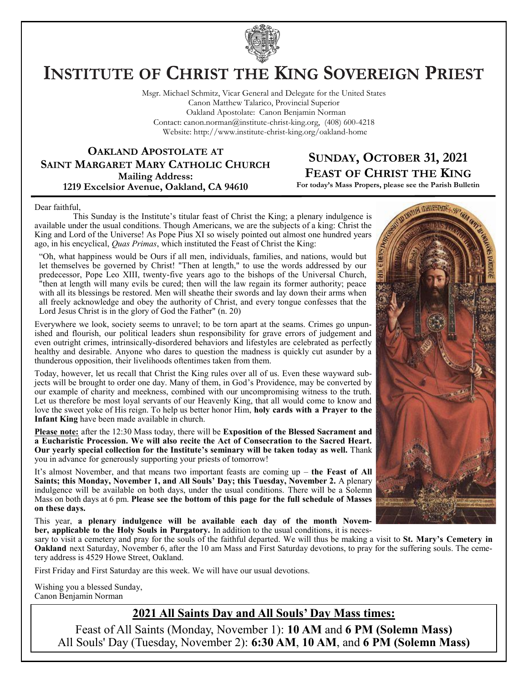

# **INSTITUTE OF CHRIST THE KING SOVEREIGN PRIEST**

Msgr. Michael Schmitz, Vicar General and Delegate for the United States Canon Matthew Talarico, Provincial Superior Oakland Apostolate: Canon Benjamin Norman Contact: canon.norman@institute-christ-king.org, (408) 600-4218 Website: http://www.institute-christ-king.org/oakland-home

**OAKLAND APOSTOLATE AT SAINT MARGARET MARY CATHOLIC CHURCH Mailing Address: 1219 Excelsior Avenue, Oakland, CA 94610**

## **SUNDAY, OCTOBER 31, 2021 FEAST OF CHRIST THE KING**

**For today's Mass Propers, please see the Parish Bulletin**

Dear faithful,

 This Sunday is the Institute's titular feast of Christ the King; a plenary indulgence is available under the usual conditions. Though Americans, we are the subjects of a king: Christ the King and Lord of the Universe! As Pope Pius XI so wisely pointed out almost one hundred years ago, in his encyclical, *Quas Primas*, which instituted the Feast of Christ the King:

"Oh, what happiness would be Ours if all men, individuals, families, and nations, would but let themselves be governed by Christ! "Then at length," to use the words addressed by our predecessor, Pope Leo XIII, twenty-five years ago to the bishops of the Universal Church, "then at length will many evils be cured; then will the law regain its former authority; peace with all its blessings be restored. Men will sheathe their swords and lay down their arms when all freely acknowledge and obey the authority of Christ, and every tongue confesses that the Lord Jesus Christ is in the glory of God the Father" (n. 20)

Everywhere we look, society seems to unravel; to be torn apart at the seams. Crimes go unpunished and flourish, our political leaders shun responsibility for grave errors of judgement and even outright crimes, intrinsically-disordered behaviors and lifestyles are celebrated as perfectly healthy and desirable. Anyone who dares to question the madness is quickly cut asunder by a thunderous opposition, their livelihoods oftentimes taken from them.

Today, however, let us recall that Christ the King rules over all of us. Even these wayward subjects will be brought to order one day. Many of them, in God's Providence, may be converted by our example of charity and meekness, combined with our uncompromising witness to the truth. Let us therefore be most loyal servants of our Heavenly King, that all would come to know and love the sweet yoke of His reign. To help us better honor Him, **holy cards with a Prayer to the Infant King** have been made available in church.

**Please note:** after the 12:30 Mass today, there will be **Exposition of the Blessed Sacrament and a Eucharistic Procession. We will also recite the Act of Consecration to the Sacred Heart. Our yearly special collection for the Institute's seminary will be taken today as well.** Thank you in advance for generously supporting your priests of tomorrow!

It's almost November, and that means two important feasts are coming up – **the Feast of All Saints; this Monday, November 1, and All Souls' Day; this Tuesday, November 2.** A plenary indulgence will be available on both days, under the usual conditions. There will be a Solemn Mass on both days at 6 pm. **Please see the bottom of this page for the full schedule of Masses on these days.**

This year, **a plenary indulgence will be available each day of the month November, applicable to the Holy Souls in Purgatory.** In addition to the usual conditions, it is neces-

sary to visit a cemetery and pray for the souls of the faithful departed. We will thus be making a visit to **St. Mary's Cemetery in Oakland** next Saturday, November 6, after the 10 am Mass and First Saturday devotions, to pray for the suffering souls. The cemetery address is 4529 Howe Street, Oakland.

First Friday and First Saturday are this week. We will have our usual devotions.

Wishing you a blessed Sunday, Canon Benjamin Norman

### **2021 All Saints Day and All Souls' Day Mass times:**

Feast of All Saints (Monday, November 1): **10 AM** and **6 PM (Solemn Mass)** All Souls' Day (Tuesday, November 2): **6:30 AM**, **10 AM**, and **6 PM (Solemn Mass)**